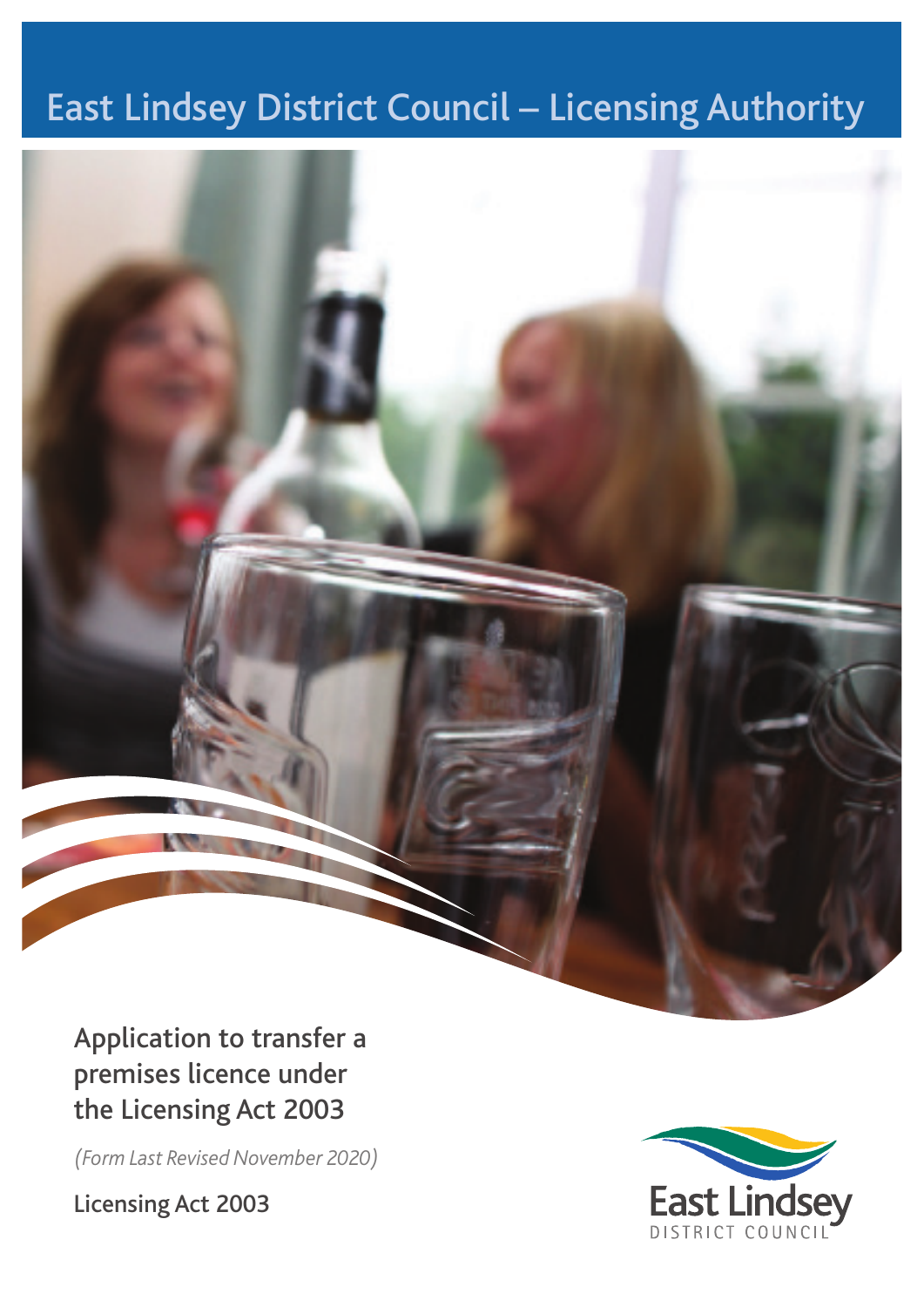# East Lindsey District Council – Licensing Authority



Application to transfer a premises licence under the Licensing Act 2003

*(Form Last Revised November 2020)*

Licensing Act 2003

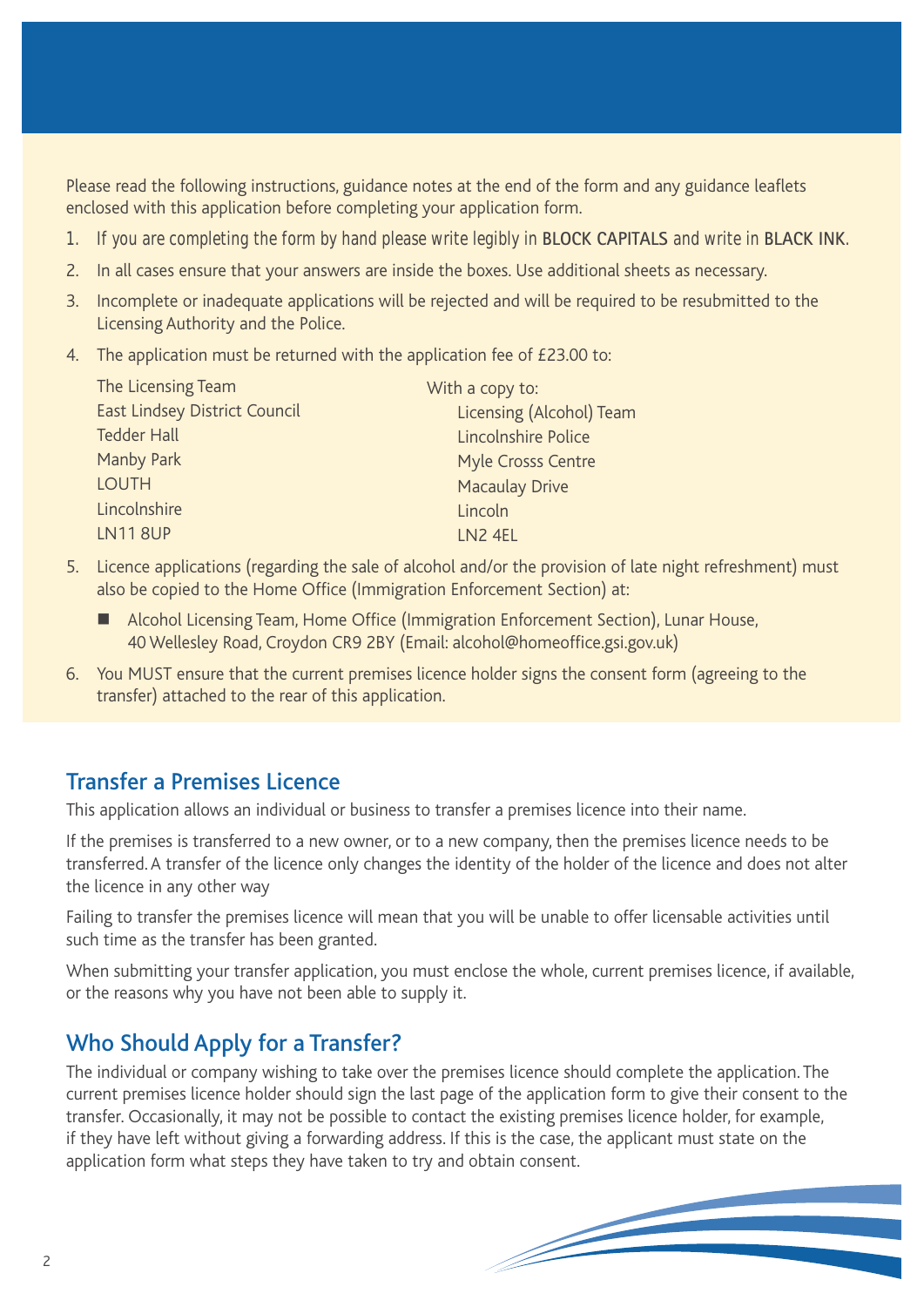Please read the following instructions, guidance notes at the end of the form and any guidance leaflets enclosed with this application before completing your application form.

- 1. If you are completing the form by hand please write legibly in **BLOCK CAPITALS** and write in **BLACK INK**.
- 2. In all cases ensure that your answers are inside the boxes. Use additional sheets as necessary.
- 3. Incomplete or inadequate applications will be rejected and will be required to be resubmitted to the Licensing Authority and the Police.
- 4. The application must be returned with the application fee of £23.00 to:

| The Licensing Team                   | With a copy to:                 |
|--------------------------------------|---------------------------------|
| <b>East Lindsey District Council</b> | <b>Licensing (Alcohol) Team</b> |
| <b>Tedder Hall</b>                   | Lincolnshire Police             |
| Manby Park                           | Myle Crosss Centre              |
| <b>LOUTH</b>                         | <b>Macaulay Drive</b>           |
| Lincolnshire                         | Lincoln                         |
| <b>LN118UP</b>                       | LN2 4EL                         |
|                                      |                                 |

- 5. Licence applications (regarding the sale of alcohol and/or the provision of late night refreshment) must also be copied to the Home Office (Immigration Enforcement Section) at:
	- Alcohol Licensing Team, Home Office (Immigration Enforcement Section), Lunar House, 40 Wellesley Road, Croydon CR9 2BY (Email: alcohol@homeoffice.gsi.gov.uk)
- 6. You MUST ensure that the current premises licence holder signs the consent form (agreeing to the transfer) attached to the rear of this application.

# Transfer a Premises Licence

This application allows an individual or business to transfer a premises licence into their name.

If the premises is transferred to a new owner, or to a new company, then the premises licence needs to be transferred. A transfer of the licence only changes the identity of the holder of the licence and does not alter the licence in any other way

Failing to transfer the premises licence will mean that you will be unable to offer licensable activities until such time as the transfer has been granted.

When submitting your transfer application, you must enclose the whole, current premises licence, if available, or the reasons why you have not been able to supply it.

# Who Should Apply for a Transfer?

The individual or company wishing to take over the premises licence should complete the application. The current premises licence holder should sign the last page of the application form to give their consent to the transfer. Occasionally, it may not be possible to contact the existing premises licence holder, for example, if they have left without giving a forwarding address. If this is the case, the applicant must state on the application form what steps they have taken to try and obtain consent.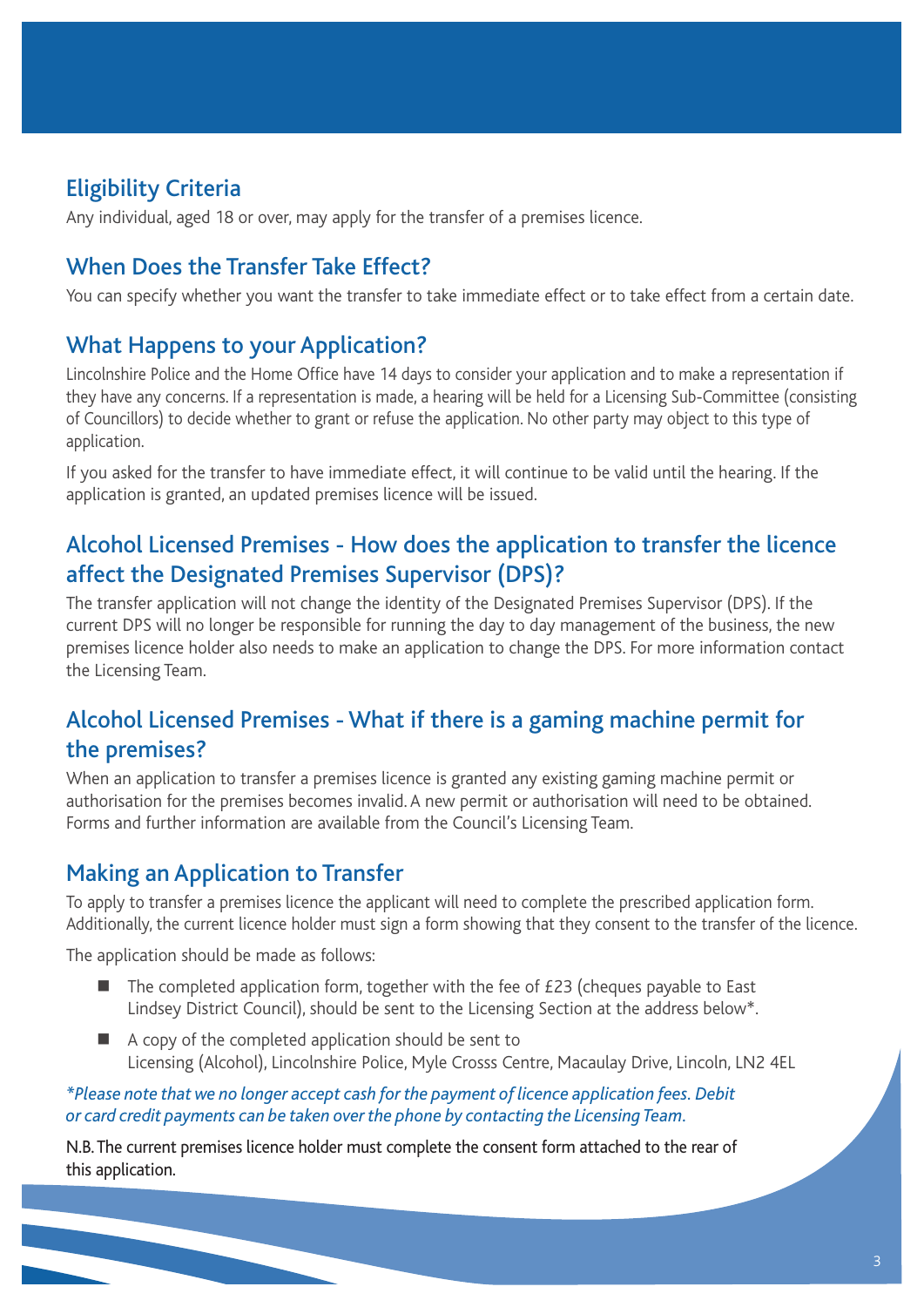## Eligibility Criteria

Any individual, aged 18 or over, may apply for the transfer of a premises licence.

## When Does the Transfer Take Effect?

You can specify whether you want the transfer to take immediate effect or to take effect from a certain date.

### What Happens to your Application?

Lincolnshire Police and the Home Office have 14 days to consider your application and to make a representation if they have any concerns. If a representation is made, a hearing will be held for a Licensing Sub-Committee (consisting of Councillors) to decide whether to grant or refuse the application. No other party may object to this type of application.

If you asked for the transfer to have immediate effect, it will continue to be valid until the hearing. If the application is granted, an updated premises licence will be issued.

## Alcohol Licensed Premises - How does the application to transfer the licence affect the Designated Premises Supervisor (DPS)?

The transfer application will not change the identity of the Designated Premises Supervisor (DPS). If the current DPS will no longer be responsible for running the day to day management of the business, the new premises licence holder also needs to make an application to change the DPS. For more information contact the Licensing Team.

### Alcohol Licensed Premises - What if there is a gaming machine permit for the premises?

When an application to transfer a premises licence is granted any existing gaming machine permit or authorisation for the premises becomes invalid. A new permit or authorisation will need to be obtained. Forms and further information are available from the Council's Licensing Team.

### Making an Application to Transfer

To apply to transfer a premises licence the applicant will need to complete the prescribed application form. Additionally, the current licence holder must sign a form showing that they consent to the transfer of the licence.

The application should be made as follows:

- $\blacksquare$  The completed application form, together with the fee of £23 (cheques payable to East Lindsey District Council), should be sent to the Licensing Section at the address below\*.
- $\blacksquare$  A copy of the completed application should be sent to Licensing (Alcohol), Lincolnshire Police, Myle Crosss Centre, Macaulay Drive, Lincoln, LN2 4EL

*\*Please note that we no longer accept cash for the payment of licence application fees. Debit or card credit payments can be taken over the phone by contacting the Licensing Team.*

N.B. The current premises licence holder must complete the consent form attached to the rear of this application.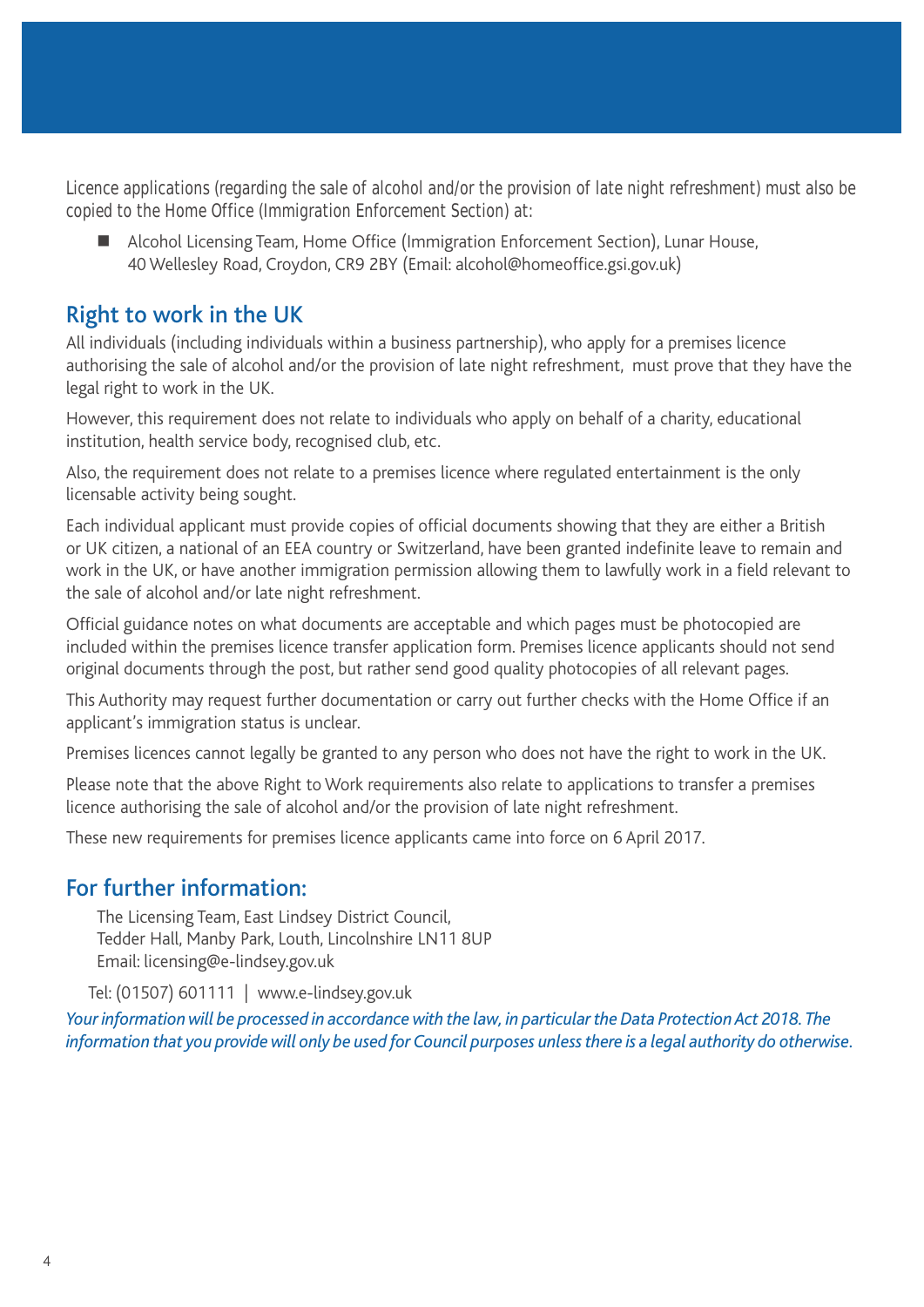Licence applications (regarding the sale of alcohol and/or the provision of late night refreshment) must also be copied to the Home Office (Immigration Enforcement Section) at:

■ Alcohol Licensing Team, Home Office (Immigration Enforcement Section), Lunar House, 40 Wellesley Road, Croydon, CR9 2BY (Email: alcohol@homeoffice.gsi.gov.uk)

### Right to work in the UK

All individuals (including individuals within a business partnership), who apply for a premises licence authorising the sale of alcohol and/or the provision of late night refreshment, must prove that they have the legal right to work in the UK.

However, this requirement does not relate to individuals who apply on behalf of a charity, educational institution, health service body, recognised club, etc.

Also, the requirement does not relate to a premises licence where regulated entertainment is the only licensable activity being sought.

Each individual applicant must provide copies of official documents showing that they are either a British or UK citizen, a national of an EEA country or Switzerland, have been granted indefinite leave to remain and work in the UK, or have another immigration permission allowing them to lawfully work in a field relevant to the sale of alcohol and/or late night refreshment.

Official guidance notes on what documents are acceptable and which pages must be photocopied are included within the premises licence transfer application form. Premises licence applicants should not send original documents through the post, but rather send good quality photocopies of all relevant pages.

This Authority may request further documentation or carry out further checks with the Home Office if an applicant's immigration status is unclear.

Premises licences cannot legally be granted to any person who does not have the right to work in the UK.

Please note that the above Right to Work requirements also relate to applications to transfer a premises licence authorising the sale of alcohol and/or the provision of late night refreshment.

These new requirements for premises licence applicants came into force on 6 April 2017.

### For further information:

The Licensing Team, East Lindsey District Council, Tedder Hall, Manby Park, Louth, Lincolnshire LN11 8UP Email: licensing@e-lindsey.gov.uk

Tel: (01507) 601111 | www.e-lindsey.gov.uk

*Your information will be processed in accordance with the law, in particular the Data Protection Act 2018. The information that you provide will only be used for Council purposes unless there is a legal authority do otherwise.*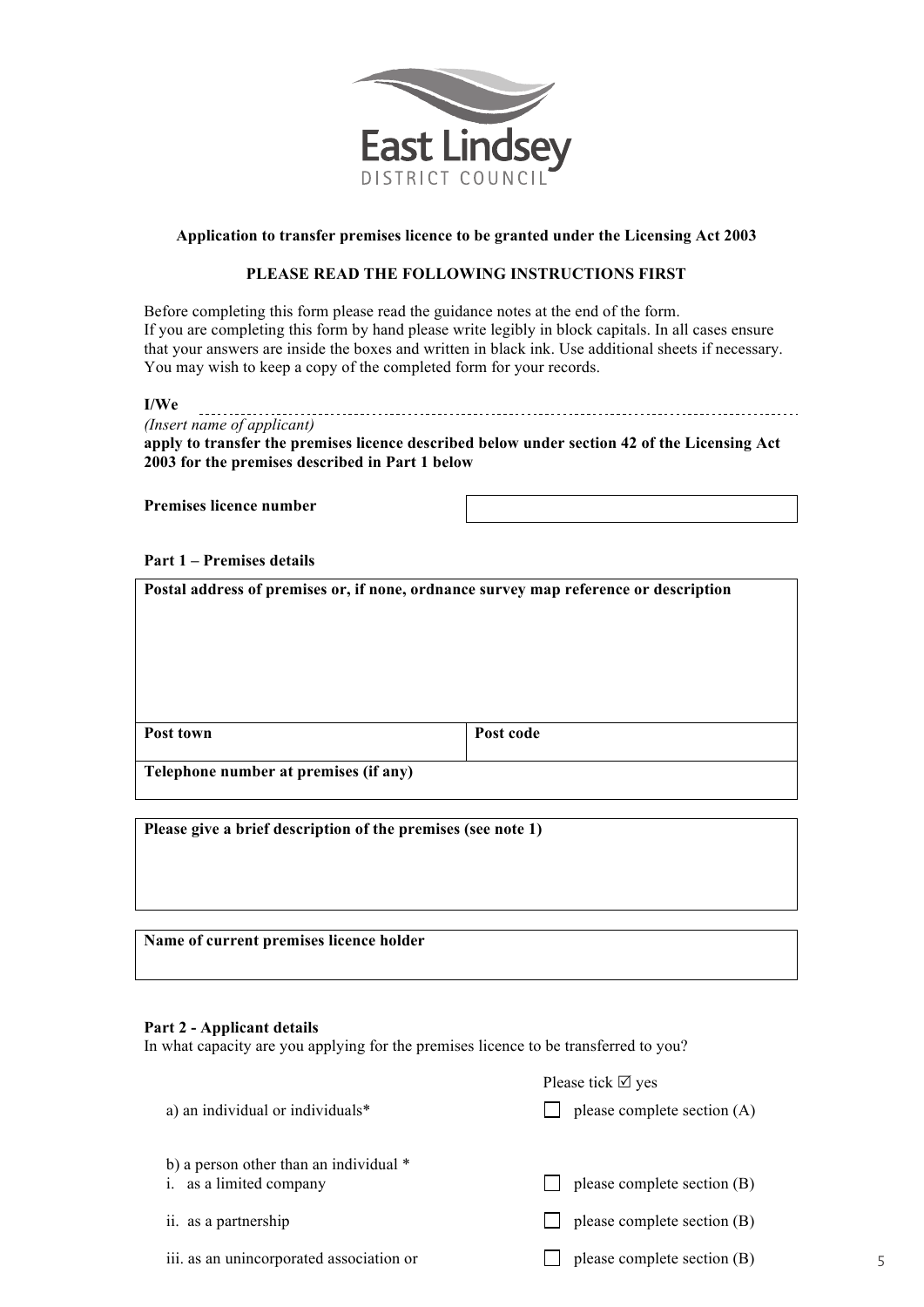

#### **Application to transfer premises licence to be granted under the Licensing Act 2003**

#### **PLEASE READ THE FOLLOWING INSTRUCTIONS FIRST**

Before completing this form please read the guidance notes at the end of the form. If you are completing this form by hand please write legibly in block capitals. In all cases ensure that your answers are inside the boxes and written in black ink. Use additional sheets if necessary. You may wish to keep a copy of the completed form for your records.

#### **I/We**

*(Insert name of applicant)*

**apply to transfer the premises licence described below under section 42 of the Licensing Act 2003 for the premises described in Part 1 below**

**Premises licence number** 

#### **Part 1 – Premises details**

| Postal address of premises or, if none, ordnance survey map reference or description |           |  |
|--------------------------------------------------------------------------------------|-----------|--|
| Post town                                                                            | Post code |  |
| Telephone number at premises (if any)                                                |           |  |

**Please give a brief description of the premises (see note 1)**

**Name of current premises licence holder**

#### **Part 2 - Applicant details**

In what capacity are you applying for the premises licence to be transferred to you?

|                                                                     | Please tick $\boxtimes$ yes |
|---------------------------------------------------------------------|-----------------------------|
| a) an individual or individuals*                                    | please complete section (A) |
| b) a person other than an individual $*$<br>i. as a limited company | please complete section (B) |
| ii. as a partnership                                                | please complete section (B) |
| iii. as an unincorporated association or                            | please complete section (B) |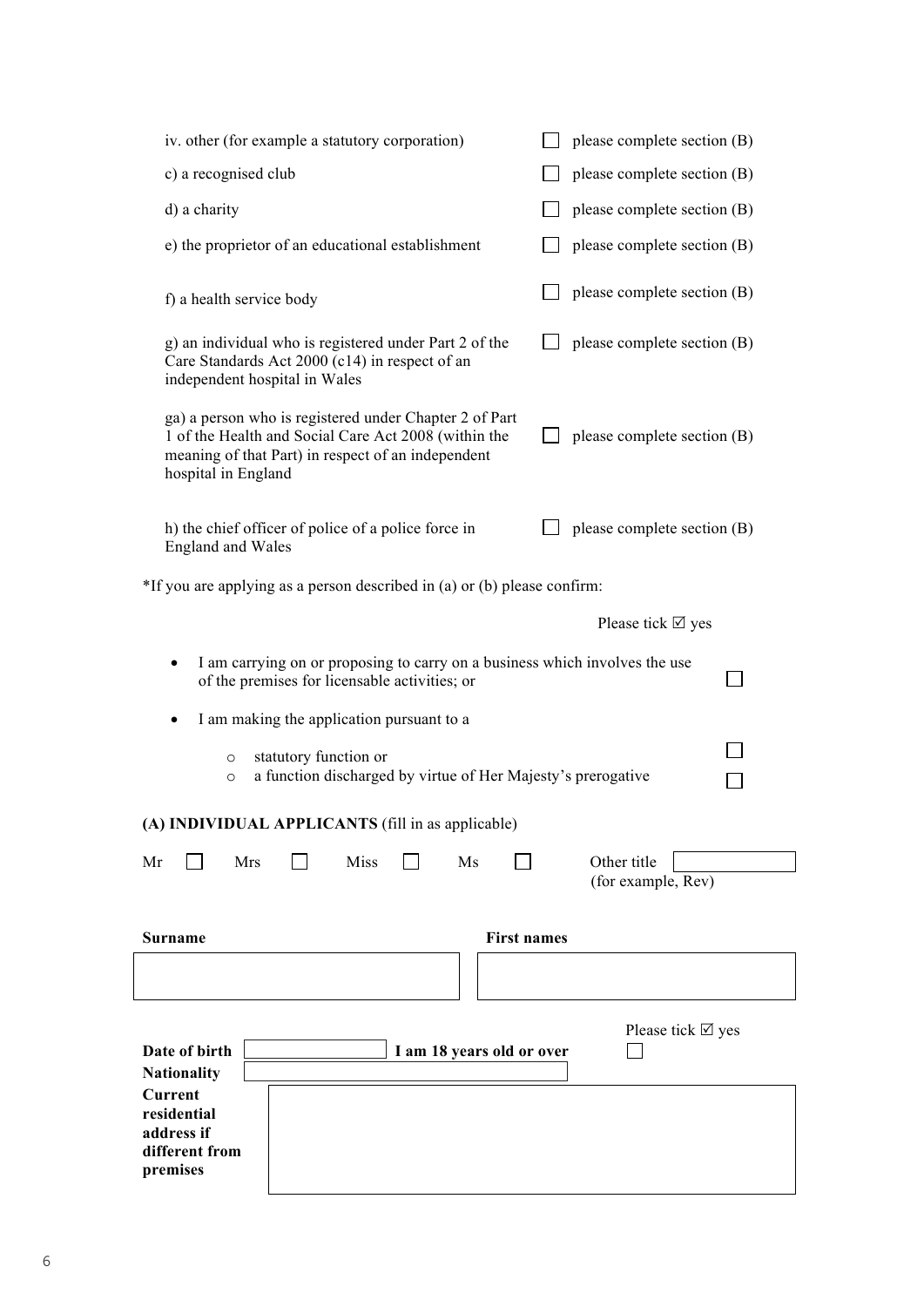| iv. other (for example a statutory corporation)                                                                                                                                             | please complete section (B)       |  |  |  |
|---------------------------------------------------------------------------------------------------------------------------------------------------------------------------------------------|-----------------------------------|--|--|--|
| c) a recognised club                                                                                                                                                                        | please complete section (B)       |  |  |  |
| d) a charity                                                                                                                                                                                | please complete section (B)       |  |  |  |
| e) the proprietor of an educational establishment                                                                                                                                           | please complete section (B)       |  |  |  |
| f) a health service body                                                                                                                                                                    | please complete section (B)       |  |  |  |
| g) an individual who is registered under Part 2 of the<br>Care Standards Act 2000 (c14) in respect of an<br>independent hospital in Wales                                                   | please complete section (B)       |  |  |  |
| ga) a person who is registered under Chapter 2 of Part<br>1 of the Health and Social Care Act 2008 (within the<br>meaning of that Part) in respect of an independent<br>hospital in England | please complete section (B)       |  |  |  |
| h) the chief officer of police of a police force in<br><b>England and Wales</b>                                                                                                             | please complete section (B)       |  |  |  |
| *If you are applying as a person described in (a) or (b) please confirm:                                                                                                                    |                                   |  |  |  |
|                                                                                                                                                                                             | Please tick $\boxtimes$ yes       |  |  |  |
| I am carrying on or proposing to carry on a business which involves the use<br>of the premises for licensable activities; or                                                                |                                   |  |  |  |
| I am making the application pursuant to a                                                                                                                                                   |                                   |  |  |  |
| statutory function or<br>$\circ$<br>a function discharged by virtue of Her Majesty's prerogative<br>$\circ$                                                                                 |                                   |  |  |  |
| (A) INDIVIDUAL APPLICANTS (fill in as applicable)                                                                                                                                           |                                   |  |  |  |
| Mrs<br><b>Miss</b><br>Mr<br>Ms                                                                                                                                                              | Other title<br>(for example, Rev) |  |  |  |
| <b>First names</b><br><b>Surname</b>                                                                                                                                                        |                                   |  |  |  |
|                                                                                                                                                                                             |                                   |  |  |  |
|                                                                                                                                                                                             |                                   |  |  |  |
| Date of birth<br>I am 18 years old or over<br><b>Nationality</b>                                                                                                                            | Please tick $\boxtimes$ yes       |  |  |  |
| Current<br>residential<br>address if<br>different from<br>premises                                                                                                                          |                                   |  |  |  |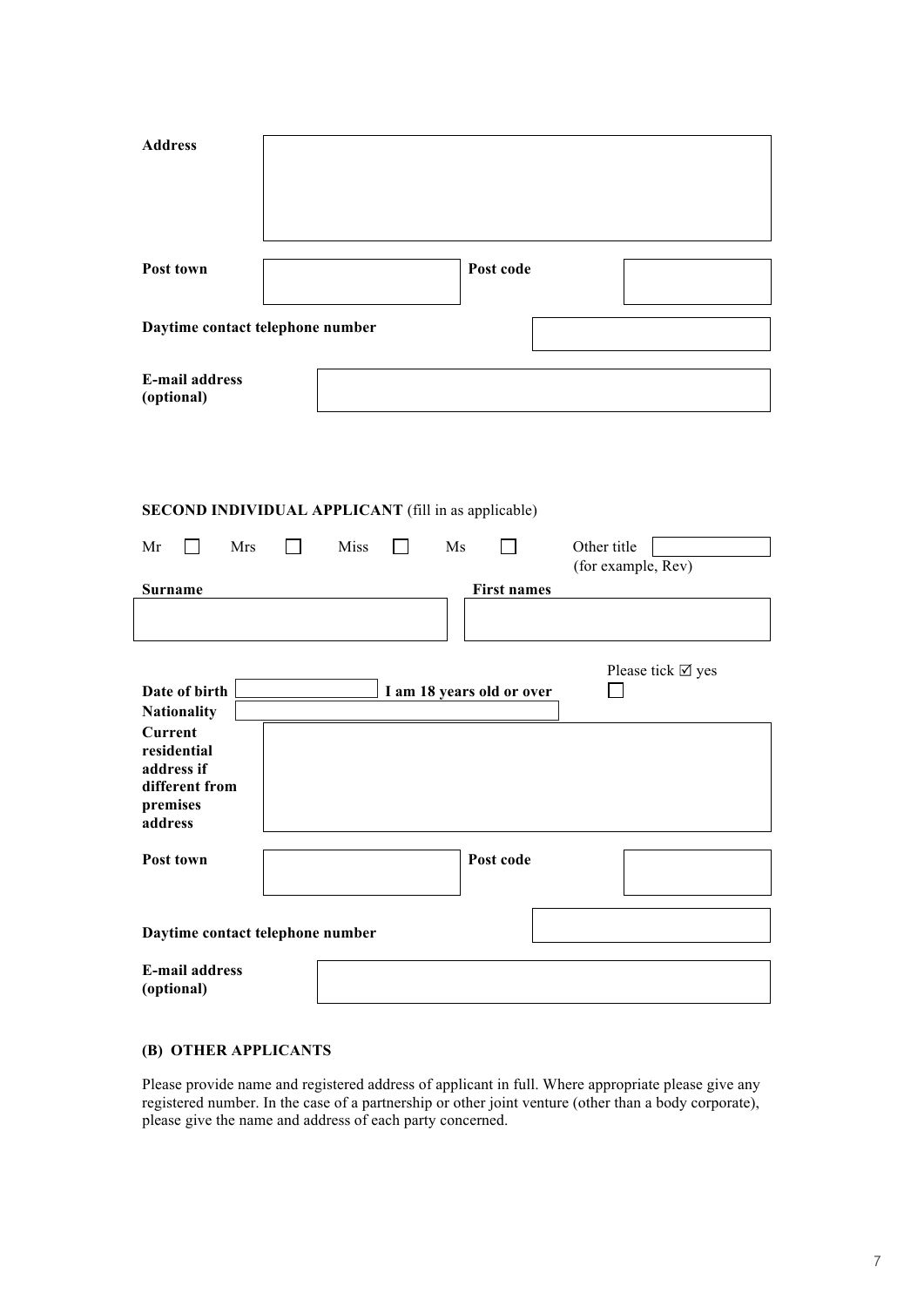| <b>Address</b>                                                                       |                                                            |                           |                                   |
|--------------------------------------------------------------------------------------|------------------------------------------------------------|---------------------------|-----------------------------------|
| Post town                                                                            |                                                            | Post code                 |                                   |
| Daytime contact telephone number                                                     |                                                            |                           |                                   |
| <b>E-mail address</b><br>(optional)                                                  |                                                            |                           |                                   |
|                                                                                      | <b>SECOND INDIVIDUAL APPLICANT</b> (fill in as applicable) |                           |                                   |
| Mrs<br>Mr<br>$\blacksquare$                                                          | Miss<br>Ms<br>$\Box$                                       |                           | Other title<br>(for example, Rev) |
| <b>Surname</b>                                                                       |                                                            | <b>First names</b>        |                                   |
| Date of birth<br><b>Nationality</b>                                                  |                                                            | I am 18 years old or over | Please tick $\boxtimes$ yes       |
| <b>Current</b><br>residential<br>address if<br>different from<br>premises<br>address |                                                            |                           |                                   |
| Post town                                                                            |                                                            | Post code                 |                                   |
| Daytime contact telephone number                                                     |                                                            |                           |                                   |
| <b>E-mail address</b><br>(optional)                                                  |                                                            |                           |                                   |

### **(B) OTHER APPLICANTS**

Please provide name and registered address of applicant in full. Where appropriate please give any registered number. In the case of a partnership or other joint venture (other than a body corporate), please give the name and address of each party concerned.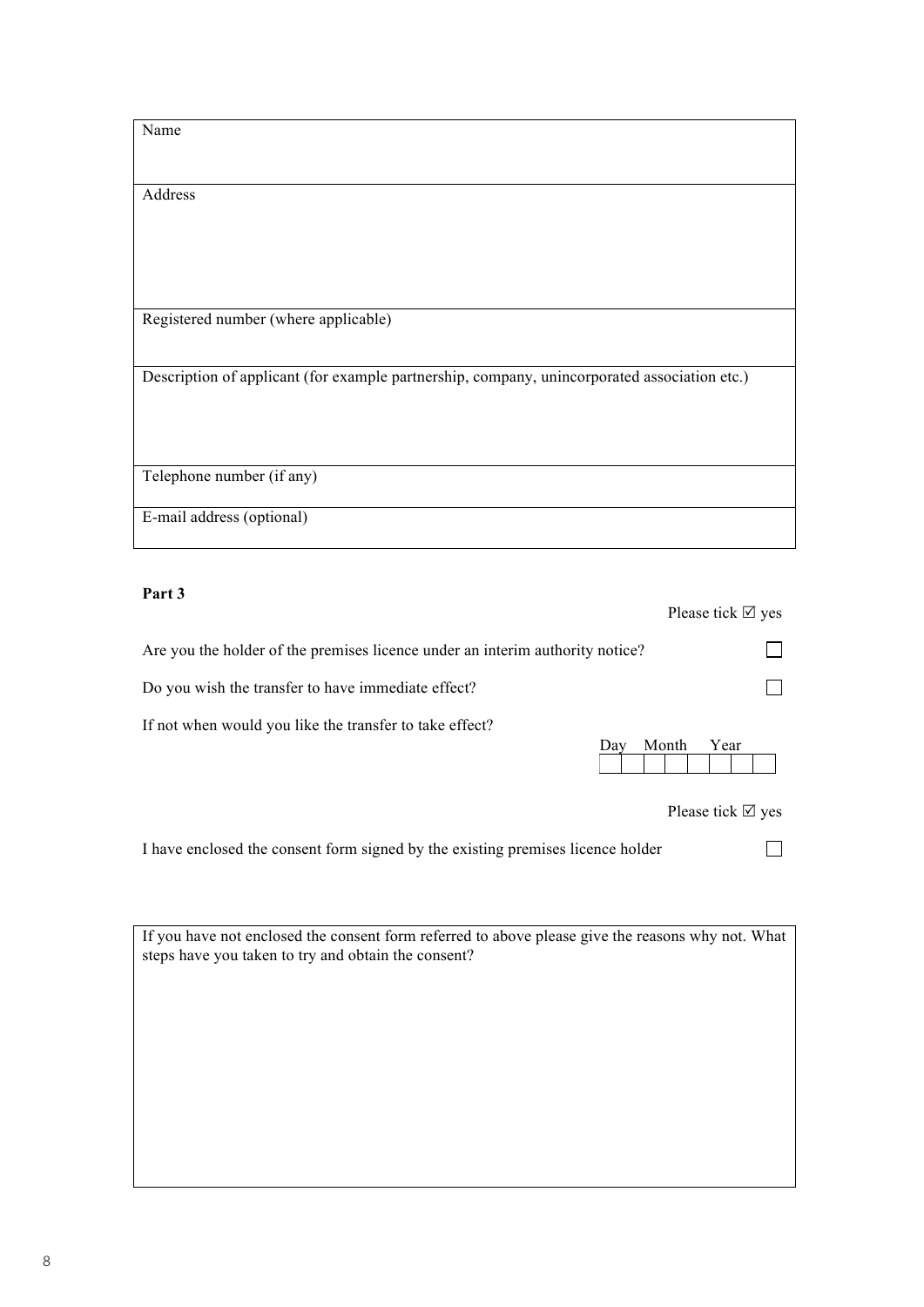| Name                                                                                         |
|----------------------------------------------------------------------------------------------|
|                                                                                              |
|                                                                                              |
|                                                                                              |
|                                                                                              |
|                                                                                              |
| Address                                                                                      |
|                                                                                              |
|                                                                                              |
|                                                                                              |
|                                                                                              |
|                                                                                              |
|                                                                                              |
|                                                                                              |
|                                                                                              |
|                                                                                              |
|                                                                                              |
| Registered number (where applicable)                                                         |
|                                                                                              |
|                                                                                              |
|                                                                                              |
|                                                                                              |
| Description of applicant (for example partnership, company, unincorporated association etc.) |
|                                                                                              |
|                                                                                              |
|                                                                                              |
|                                                                                              |
|                                                                                              |
|                                                                                              |
|                                                                                              |
|                                                                                              |
| Telephone number (if any)                                                                    |
|                                                                                              |
|                                                                                              |
| E-mail address (optional)                                                                    |
|                                                                                              |
|                                                                                              |

### **Part 3**

|                                                                               |     |       | Please tick $\boxtimes$ yes |  |
|-------------------------------------------------------------------------------|-----|-------|-----------------------------|--|
| Are you the holder of the premises licence under an interim authority notice? |     |       |                             |  |
| Do you wish the transfer to have immediate effect?                            |     |       |                             |  |
| If not when would you like the transfer to take effect?                       |     |       |                             |  |
|                                                                               | Day | Month | Year                        |  |

Please tick  $\boxtimes$  yes

 $\Box$ 

I have enclosed the consent form signed by the existing premises licence holder

If you have not enclosed the consent form referred to above please give the reasons why not. What steps have you taken to try and obtain the consent?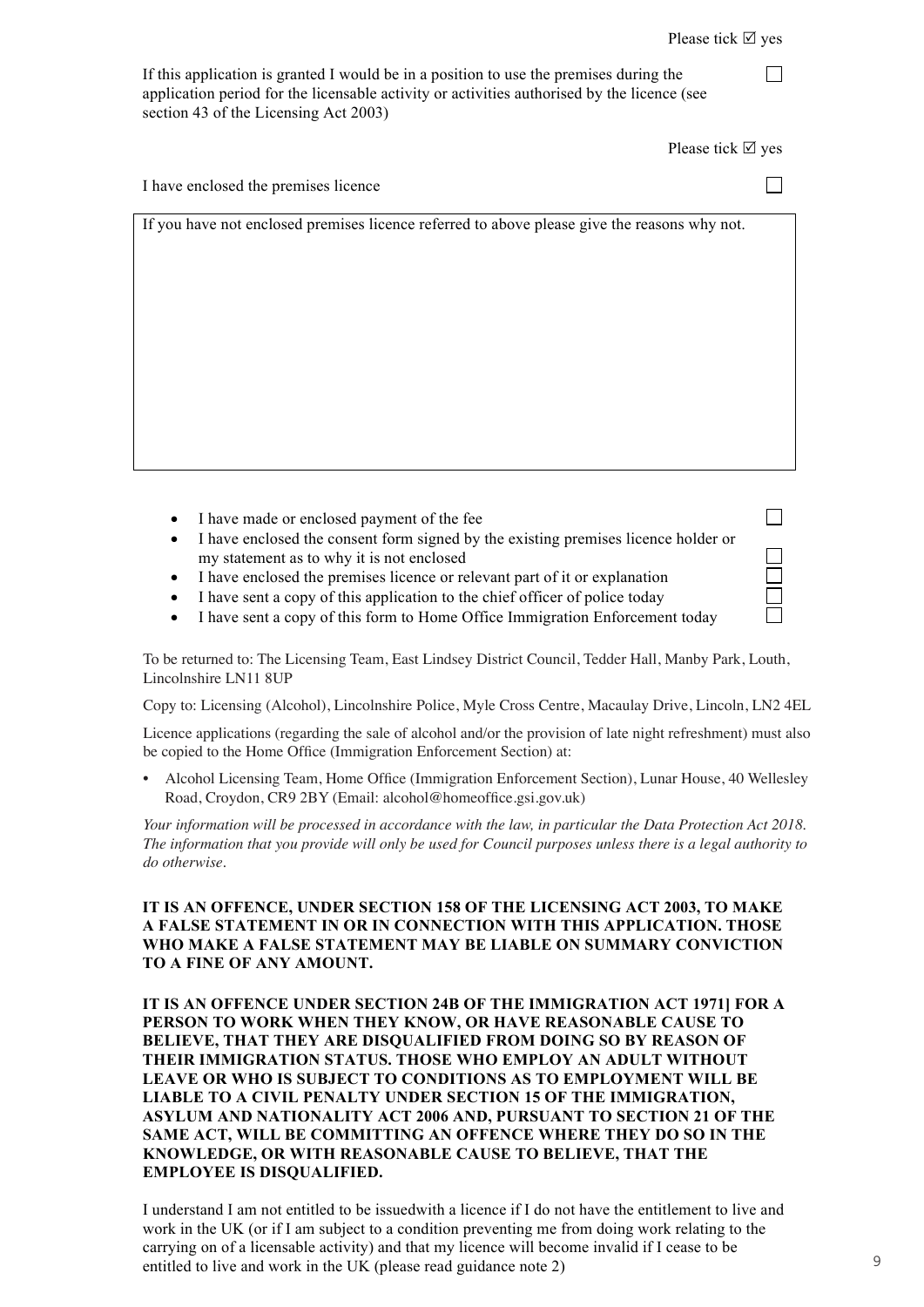$\Box$ 

| If this application is granted I would be in a position to use the premises during the      |
|---------------------------------------------------------------------------------------------|
| application period for the licensable activity or activities authorised by the licence (see |
| section 43 of the Licensing Act 2003)                                                       |

Please tick  $\boxtimes$  yes

| I have enclosed the premises licence                                                         |  |
|----------------------------------------------------------------------------------------------|--|
| If you have not enclosed premises licence referred to above please give the reasons why not. |  |

- I have made or enclosed payment of the fee
- I have enclosed the consent form signed by the existing premises licence holder or my statement as to why it is not enclosed
- I have enclosed the premises licence or relevant part of it or explanation
- I have sent a copy of this application to the chief officer of police today
- I have sent a copy of this form to Home Office Immigration Enforcement today

To be returned to: The Licensing Team, East Lindsey District Council, Tedder Hall, Manby Park, Louth, Lincolnshire LN11 8UP

Copy to: Licensing (Alcohol), Lincolnshire Police, Myle Cross Centre, Macaulay Drive, Lincoln, LN2 4EL

Licence applications (regarding the sale of alcohol and/or the provision of late night refreshment) must also be copied to the Home Office (Immigration Enforcement Section) at:

IT IS AN OFFERCE UNDER THE UNIT OF THE INTERNATION CONTRACT DECIDED, Land Trouse, 40 Wents **PERSON TO WALK WHEN** THE REAL ALAMA TO PRODUCE TO PRODUCE SUBJECT TO A REAL AND NO SET OF A REAL AND THE REAL AND  $P(X|X, Y|Z)$ • Alcohol Licensing Team, Home Office (Immigration Enforcement Section), Lunar House, 40 Wellesley Road, Croydon, CR9 2BY (Email: alcohol@homeoffice.gsi.gov.uk)

Your information will be processed in accordance with the law, in particular the Data Protection Act 2018. Tour information will be processed in accordance with the taw, in particular the Data Protection Act 2018.<br>The information that you provide will only be used for Council purposes unless there is a legal authority to **LEAVE OR WHO IS SUBJECT TO CONDITIONS ASSESSED TO A LEAVE ASSESSED AS TO EXAMPLE ASSESSED AS TO EXAMPLO SERVICE** *do otherwise.*

#### IT IS AN OFFENCE, UNDER SECTION 158 OF THE LICENSING ACT 2003, TO MAKE **SAME ACT, WILL BE COMMITTING AN OFFENCE WHERE THEY DO SO IN THE A FALSE STATEMENT IN OR IN CONNECTION WITH THIS APPLICATION. THOSE KNOW MAKE A FALSE STATEMENT MAY BE LIABLE ON SUMMARY CONVICTION EMPLOYEE IS DISQUALIFIED. TO A FINE OF ANY AMOUNT.**

**IT IS AN OFFENCE UNDER SECTION 24B OF THE IMMIGRATION ACT 1971] FOR A** work in the UK (or if I am subject to a condition preventing me from doing work relating to the **PERSON TO WORK WHEN THEY KNOW, OR HAVE REASONABLE CAUSE TO EXISON TO WORK WHEN THET KNOW, ON HAVE REASONABLE CAUSE TO BELIEVE, THAT THEY ARE DISQUALIFIED FROM DOING SO BY REASON OF DEELEVE, THAT THET AND DISQUADITIED FROM DOING SO DT REASON OF THEIR IMMIGRATION STATUS. THOSE WHO EMPLOY AN ADULT WITHOUT LEAVE OR WHO IS SUBJECT TO CONDITIONS AS TO EMPLOYMENT WILL BE LIABLE TO A CIVIL PENALTY UNDER SECTION 15 OF THE IMMIGRATION, ASYLUM AND NATIONALITY ACT 2006 AND, PURSUANT TO SECTION 21 OF THE SAME ACT, WILL BE COMMITTING AN OFFENCE WHERE THEY DO SO IN THE KNOWLEDGE, OR WITH REASONABLE CAUSE TO BELIEVE, THAT THE EMPLOYEE IS DISQUALIFIED.** 

I understand I am not entitled to be issuedwith a licence if I do not have the entitlement to live and work in the UK (or if I am subject to a condition preventing me from doing work relating to the carrying on of a licensable activity) and that my licence will become invalid if I cease to be entitled to live and work in the UK (please read guidance note 2)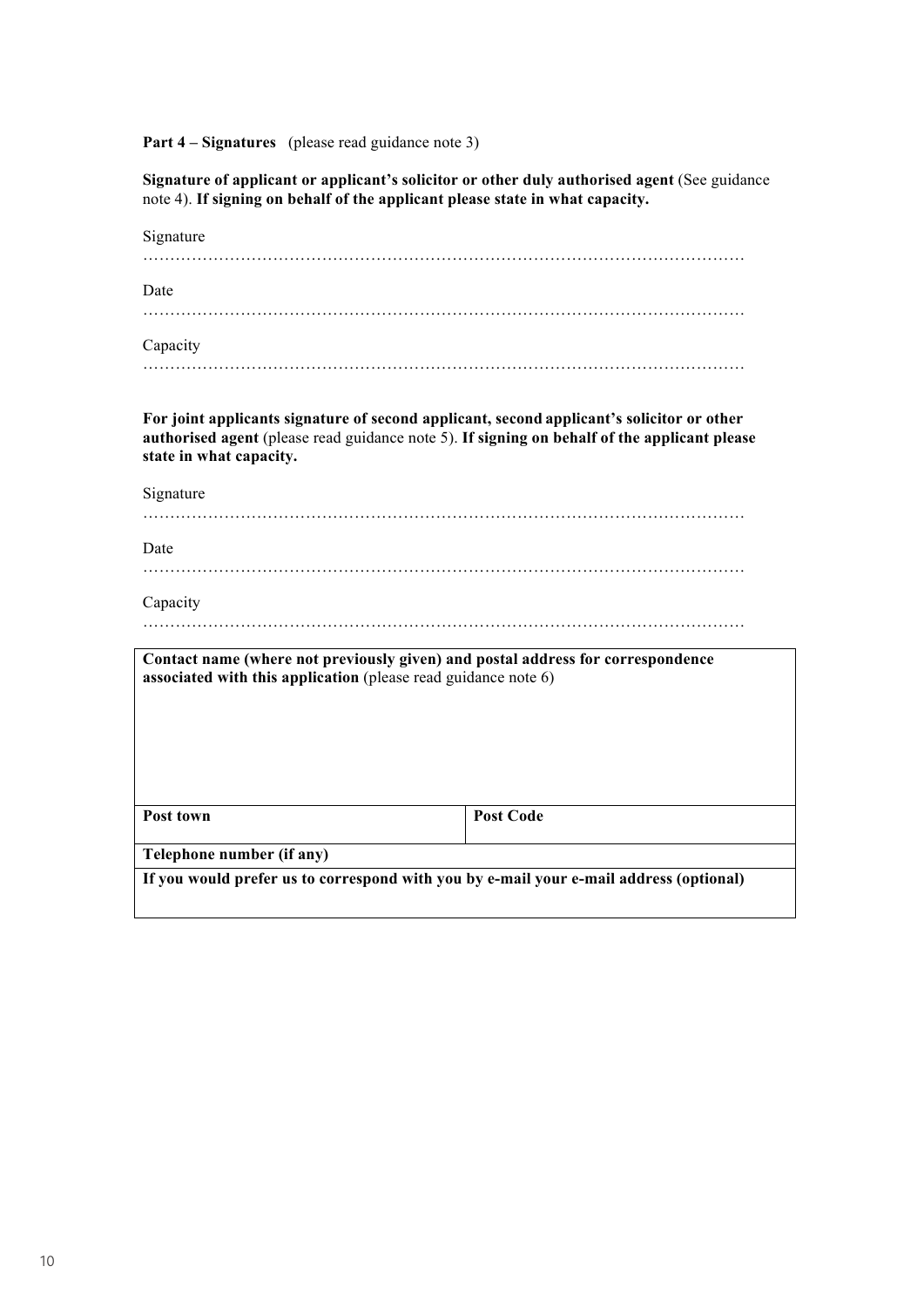Part 4 – Signatures (please read guidance note 3)

**Signature of applicant or applicant's solicitor or other duly authorised agent** (See guidance note 4). **If signing on behalf of the applicant please state in what capacity.**

| Signature                                                                                                                                                                                                            |                  |  |
|----------------------------------------------------------------------------------------------------------------------------------------------------------------------------------------------------------------------|------------------|--|
| Date                                                                                                                                                                                                                 |                  |  |
| Capacity                                                                                                                                                                                                             |                  |  |
| For joint applicants signature of second applicant, second applicant's solicitor or other<br>authorised agent (please read guidance note 5). If signing on behalf of the applicant please<br>state in what capacity. |                  |  |
| Signature                                                                                                                                                                                                            |                  |  |
| Date                                                                                                                                                                                                                 |                  |  |
| Capacity                                                                                                                                                                                                             |                  |  |
| Contact name (where not previously given) and postal address for correspondence<br>associated with this application (please read guidance note 6)                                                                    |                  |  |
| Post town                                                                                                                                                                                                            | <b>Post Code</b> |  |
| Telephone number (if any)                                                                                                                                                                                            |                  |  |
| If you would prefer us to correspond with you by e-mail your e-mail address (optional)                                                                                                                               |                  |  |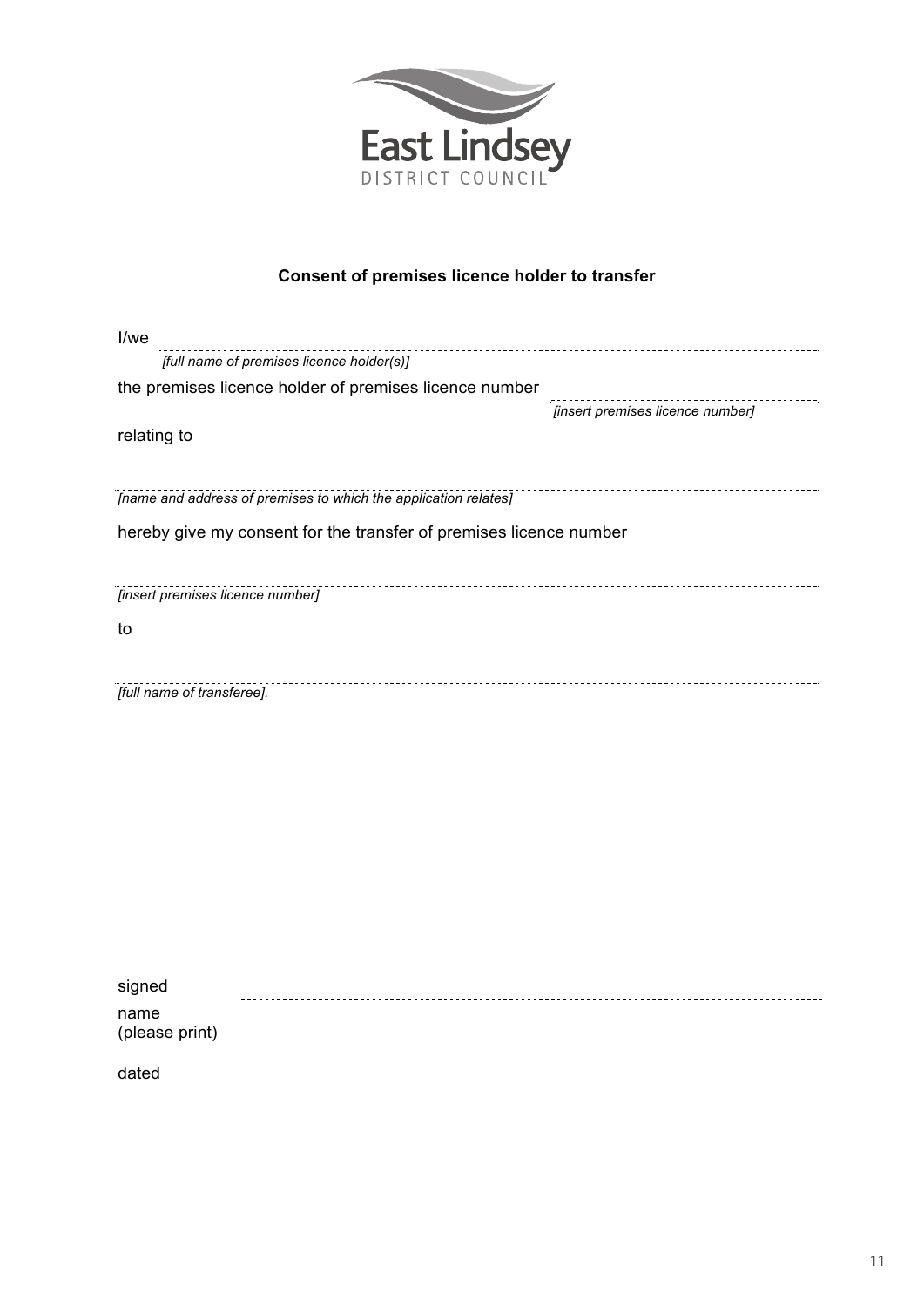

### **Consent of premises licence holder to transfer**

| I/we                                                               |                                  |
|--------------------------------------------------------------------|----------------------------------|
| [full name of premises licence holder(s)]                          |                                  |
| the premises licence holder of premises licence number             |                                  |
|                                                                    | [insert premises licence number] |
| relating to                                                        |                                  |
|                                                                    |                                  |
| [name and address of premises to which the application relates]    |                                  |
| hereby give my consent for the transfer of premises licence number |                                  |
|                                                                    |                                  |
| [insert premises licence number]                                   |                                  |
| to                                                                 |                                  |
|                                                                    |                                  |
| [full name of transferee].                                         |                                  |
|                                                                    |                                  |
|                                                                    |                                  |
|                                                                    |                                  |
|                                                                    |                                  |
|                                                                    |                                  |

| signed                 |  |
|------------------------|--|
| name<br>(please print) |  |
| dated                  |  |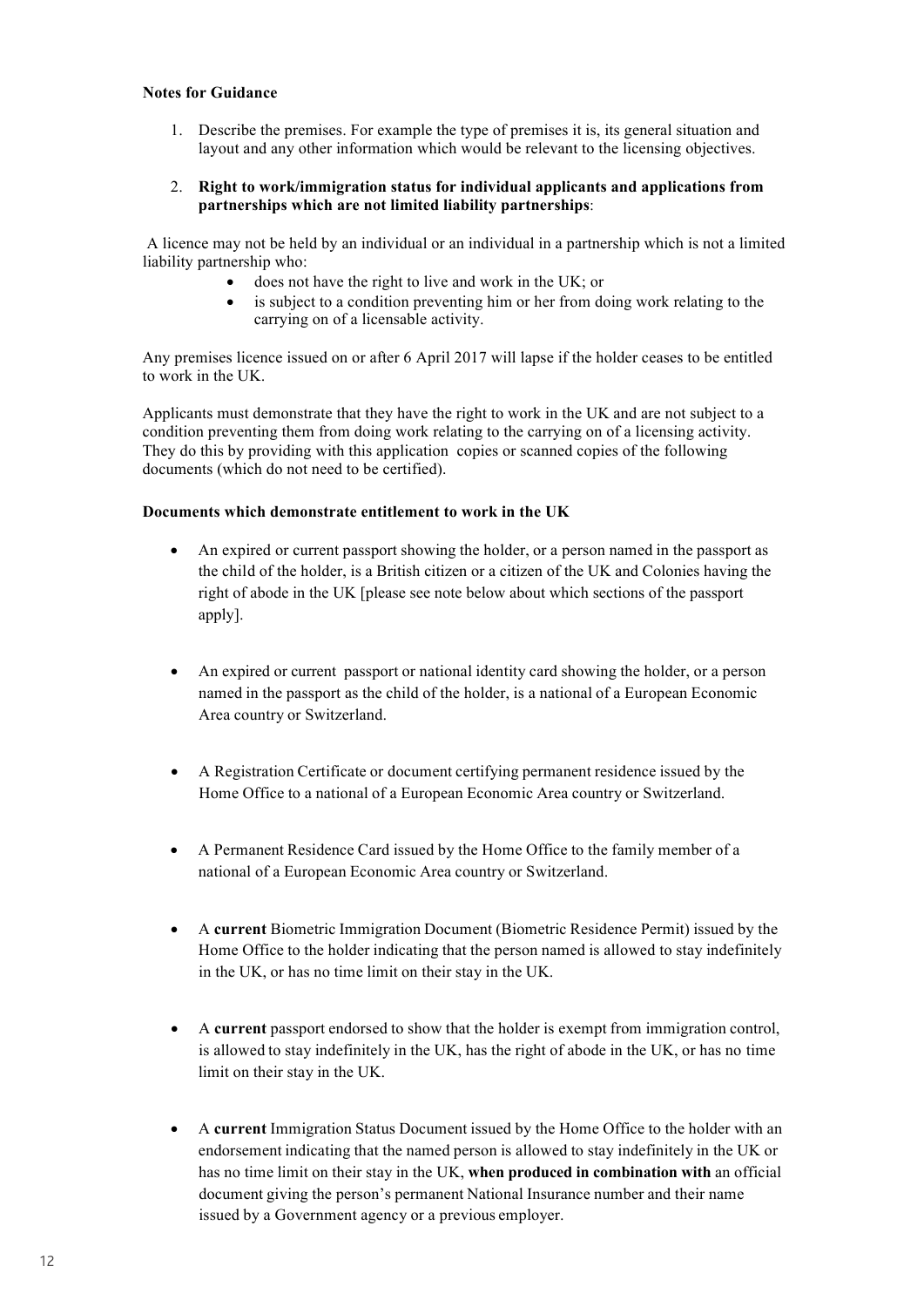#### **Notes for Guidance**

1. Describe the premises. For example the type of premises it is, its general situation and layout and any other information which would be relevant to the licensing objectives.

#### 2. **Right to work/immigration status for individual applicants and applications from partnerships which are not limited liability partnerships**:

A licence may not be held by an individual or an individual in a partnership which is not a limited liability partnership who:

- does not have the right to live and work in the UK; or
- is subject to a condition preventing him or her from doing work relating to the carrying on of a licensable activity.

Any premises licence issued on or after 6 April 2017 will lapse if the holder ceases to be entitled to work in the UK.

Applicants must demonstrate that they have the right to work in the UK and are not subject to a condition preventing them from doing work relating to the carrying on of a licensing activity. They do this by providing with this application copies or scanned copies of the following documents (which do not need to be certified).

#### **Documents which demonstrate entitlement to work in the UK**

- An expired or current passport showing the holder, or a person named in the passport as the child of the holder, is a British citizen or a citizen of the UK and Colonies having the right of abode in the UK [please see note below about which sections of the passport apply].
- An expired or current passport or national identity card showing the holder, or a person named in the passport as the child of the holder, is a national of a European Economic Area country or Switzerland.
- A Registration Certificate or document certifying permanent residence issued by the Home Office to a national of a European Economic Area country or Switzerland.
- A Permanent Residence Card issued by the Home Office to the family member of a national of a European Economic Area country or Switzerland.
- A **current** Biometric Immigration Document (Biometric Residence Permit) issued by the Home Office to the holder indicating that the person named is allowed to stay indefinitely in the UK, or has no time limit on their stay in the UK.
- A **current** passport endorsed to show that the holder is exempt from immigration control, is allowed to stay indefinitely in the UK, has the right of abode in the UK, or has no time limit on their stay in the UK.
- A **current** Immigration Status Document issued by the Home Office to the holder with an endorsement indicating that the named person is allowed to stay indefinitely in the UK or has no time limit on their stay in the UK, **when produced in combination with** an official document giving the person's permanent National Insurance number and their name issued by a Government agency or a previous employer.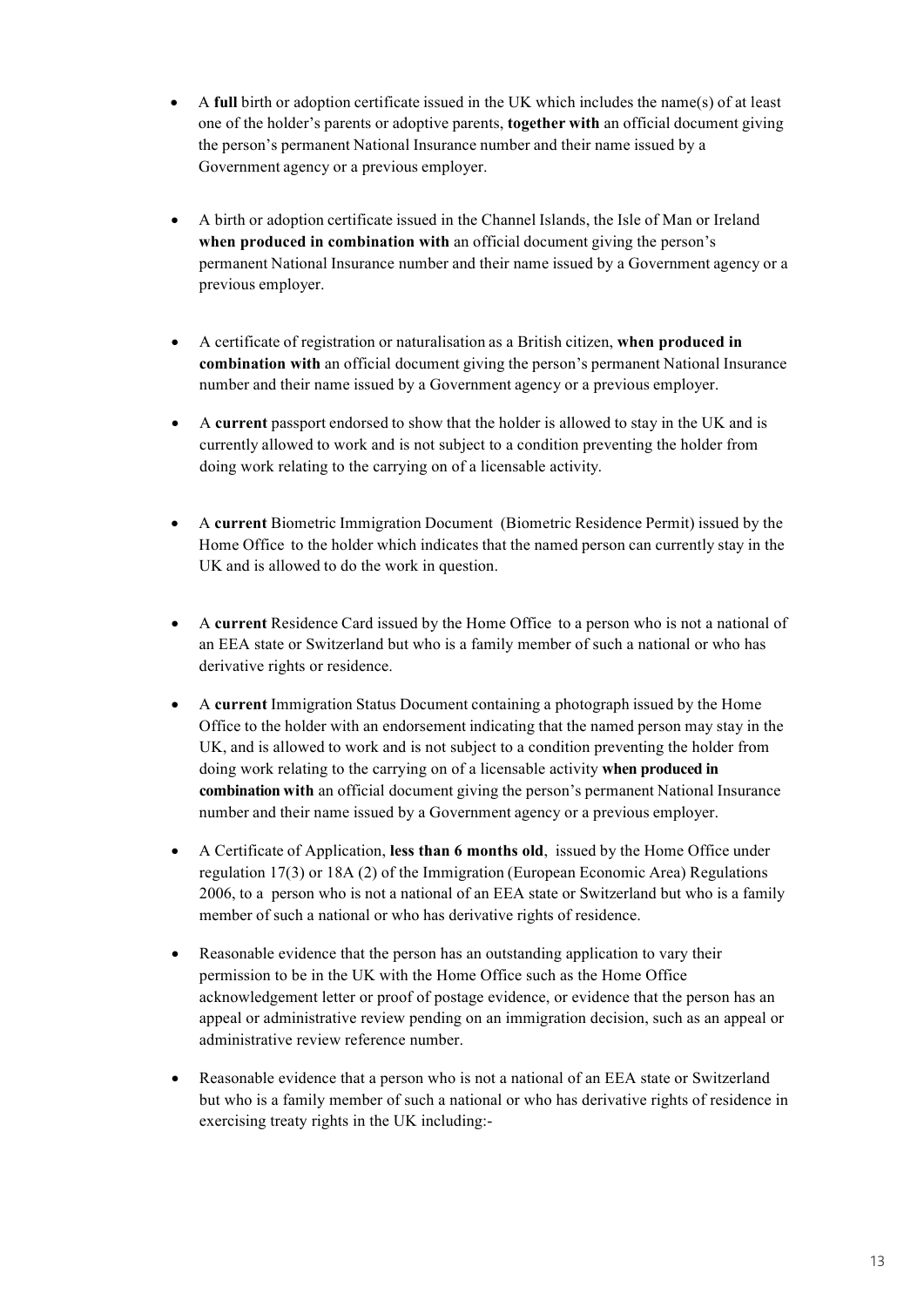- A **full** birth or adoption certificate issued in the UK which includes the name(s) of at least one of the holder's parents or adoptive parents, **together with** an official document giving the person's permanent National Insurance number and their name issued by a Government agency or a previous employer.
- A birth or adoption certificate issued in the Channel Islands, the Isle of Man or Ireland **when produced in combination with** an official document giving the person's permanent National Insurance number and their name issued by a Government agency or a previous employer.
- A certificate of registration or naturalisation as a British citizen, **when produced in combination with** an official document giving the person's permanent National Insurance number and their name issued by a Government agency or a previous employer.
- A **current** passport endorsed to show that the holder is allowed to stay in the UK and is currently allowed to work and is not subject to a condition preventing the holder from doing work relating to the carrying on of a licensable activity.
- A **current** Biometric Immigration Document (Biometric Residence Permit) issued by the Home Office to the holder which indicates that the named person can currently stay in the UK and is allowed to do the work in question.
- A **current** Residence Card issued by the Home Office to a person who is not a national of an EEA state or Switzerland but who is a family member of such a national or who has derivative rights or residence.
- A **current** Immigration Status Document containing a photograph issued by the Home Office to the holder with an endorsement indicating that the named person may stay in the UK, and is allowed to work and is not subject to a condition preventing the holder from doing work relating to the carrying on of a licensable activity **when produced in combination with** an official document giving the person's permanent National Insurance number and their name issued by a Government agency or a previous employer.
- A Certificate of Application, **less than 6 months old**, issued by the Home Office under regulation 17(3) or 18A (2) of the Immigration (European Economic Area) Regulations 2006, to a person who is not a national of an EEA state or Switzerland but who is a family member of such a national or who has derivative rights of residence.
- Reasonable evidence that the person has an outstanding application to vary their permission to be in the UK with the Home Office such as the Home Office acknowledgement letter or proof of postage evidence, or evidence that the person has an appeal or administrative review pending on an immigration decision, such as an appeal or administrative review reference number.
- Reasonable evidence that a person who is not a national of an EEA state or Switzerland but who is a family member of such a national or who has derivative rights of residence in exercising treaty rights in the UK including:-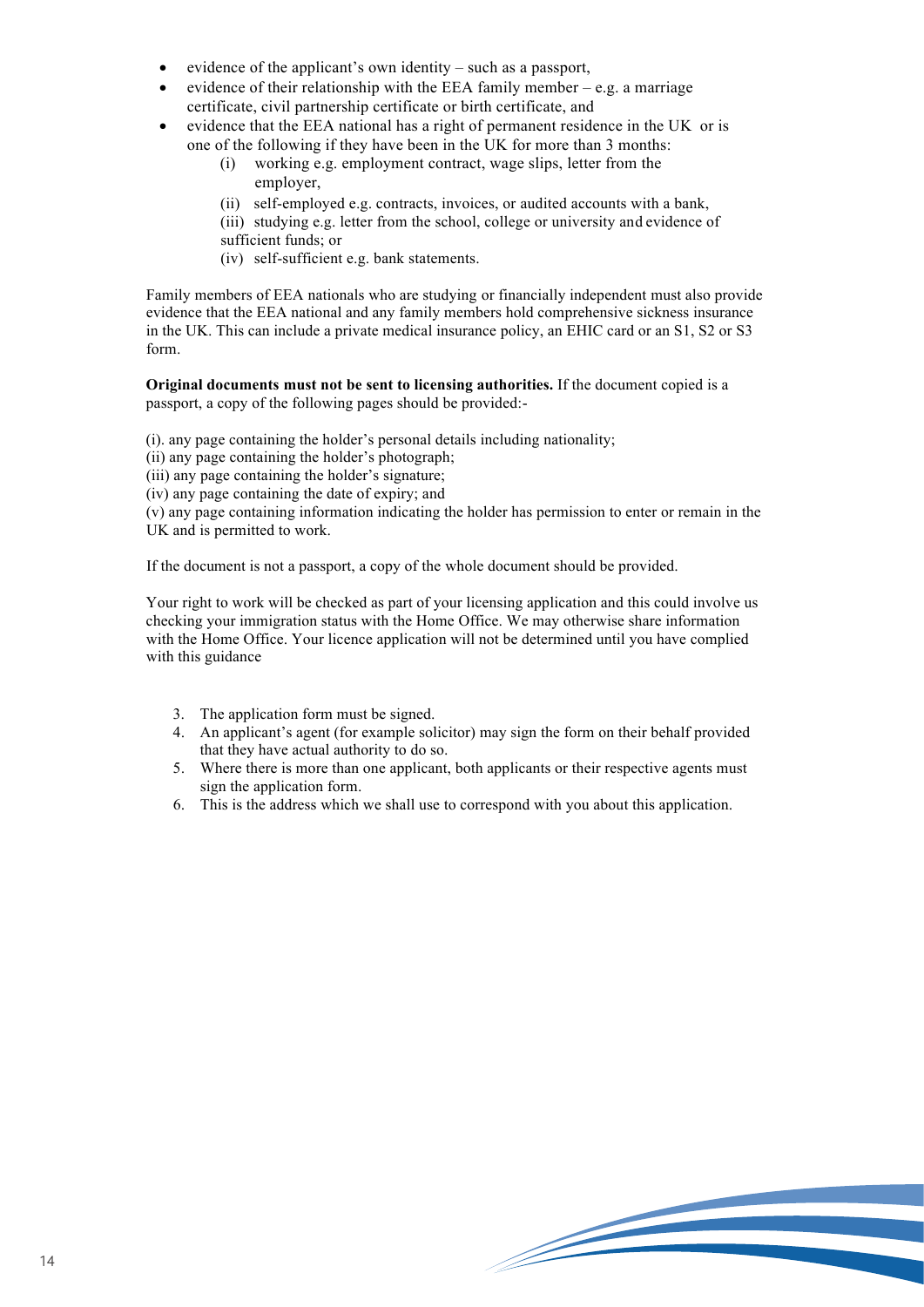- evidence of the applicant's own identity such as a passport,
- evidence of their relationship with the EEA family member  $-e.g.$  a marriage certificate, civil partnership certificate or birth certificate, and
- evidence that the EEA national has a right of permanent residence in the UK or is one of the following if they have been in the UK for more than 3 months:
	- (i) working e.g. employment contract, wage slips, letter from the employer,
	- (ii) self-employed e.g. contracts, invoices, or audited accounts with a bank,
	- (iii) studying e.g. letter from the school, college or university and evidence of
	- sufficient funds; or
	- (iv) self-sufficient e.g. bank statements.

Family members of EEA nationals who are studying or financially independent must also provide evidence that the EEA national and any family members hold comprehensive sickness insurance in the UK. This can include a private medical insurance policy, an EHIC card or an S1, S2 or S3 form.

**Original documents must not be sent to licensing authorities.** If the document copied is a passport, a copy of the following pages should be provided:-

(i). any page containing the holder's personal details including nationality;

- (ii) any page containing the holder's photograph;
- (iii) any page containing the holder's signature;
- (iv) any page containing the date of expiry; and

(v) any page containing information indicating the holder has permission to enter or remain in the UK and is permitted to work.

If the document is not a passport, a copy of the whole document should be provided.

Your right to work will be checked as part of your licensing application and this could involve us checking your immigration status with the Home Office. We may otherwise share information with the Home Office. Your licence application will not be determined until you have complied with this guidance

- 3. The application form must be signed.
- 4. An applicant's agent (for example solicitor) may sign the form on their behalf provided that they have actual authority to do so.
- 5. Where there is more than one applicant, both applicants or their respective agents must sign the application form.
- 6. This is the address which we shall use to correspond with you about this application.

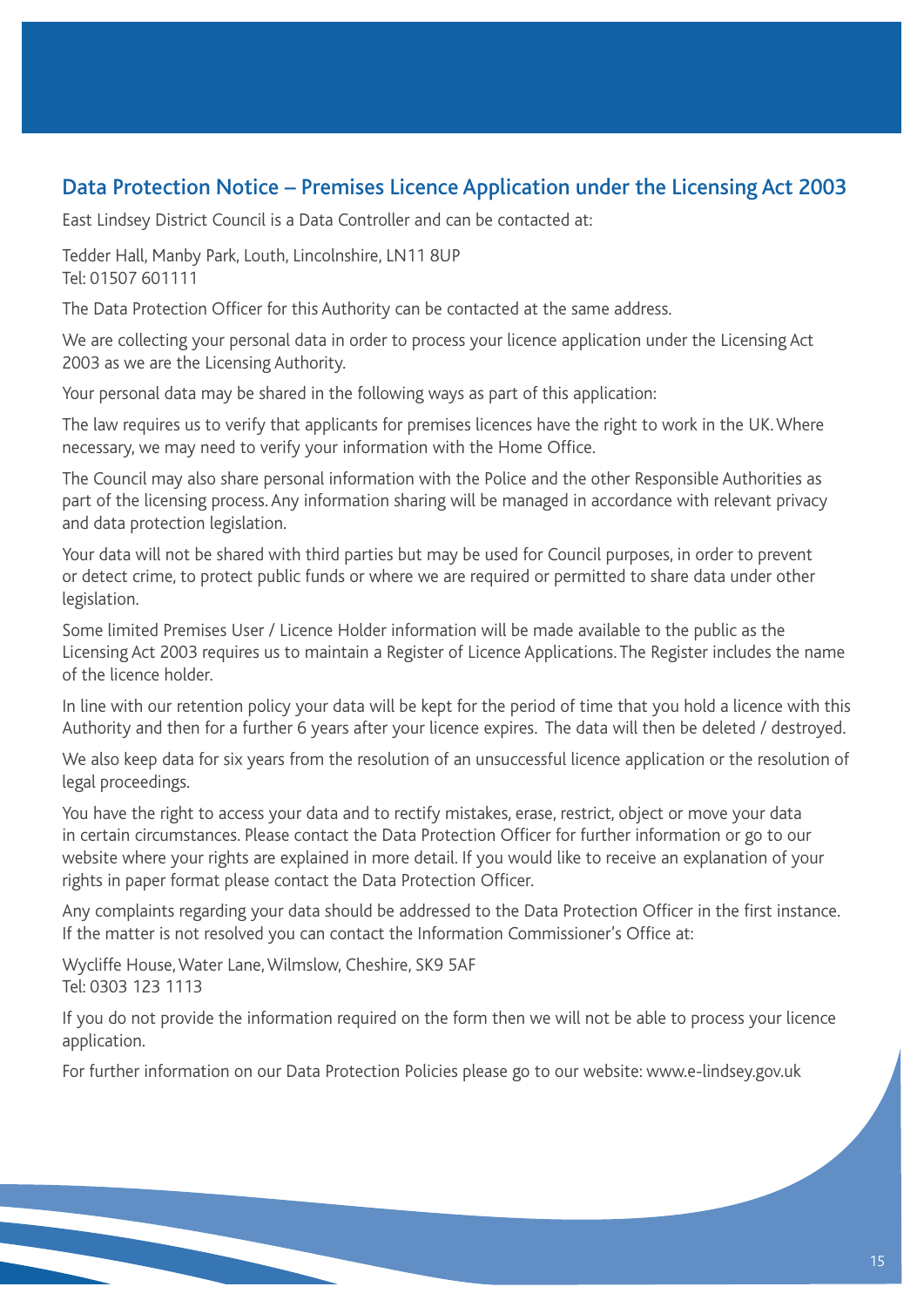### Data Protection Notice – Premises Licence Application under the Licensing Act 2003

East Lindsey District Council is a Data Controller and can be contacted at:

Tedder Hall, Manby Park, Louth, Lincolnshire, LN11 8UP Tel: 01507 601111

The Data Protection Officer for this Authority can be contacted at the same address.

We are collecting your personal data in order to process your licence application under the Licensing Act 2003 as we are the Licensing Authority.

Your personal data may be shared in the following ways as part of this application:

The law requires us to verify that applicants for premises licences have the right to work in the UK. Where necessary, we may need to verify your information with the Home Office.

The Council may also share personal information with the Police and the other Responsible Authorities as part of the licensing process. Any information sharing will be managed in accordance with relevant privacy and data protection legislation.

Your data will not be shared with third parties but may be used for Council purposes, in order to prevent or detect crime, to protect public funds or where we are required or permitted to share data under other legislation.

Some limited Premises User / Licence Holder information will be made available to the public as the Licensing Act 2003 requires us to maintain a Register of Licence Applications. The Register includes the name of the licence holder.

In line with our retention policy your data will be kept for the period of time that you hold a licence with this Authority and then for a further 6 years after your licence expires. The data will then be deleted / destroyed.

We also keep data for six years from the resolution of an unsuccessful licence application or the resolution of legal proceedings.

You have the right to access your data and to rectify mistakes, erase, restrict, object or move your data in certain circumstances. Please contact the Data Protection Officer for further information or go to our website where your rights are explained in more detail. If you would like to receive an explanation of your rights in paper format please contact the Data Protection Officer.

Any complaints regarding your data should be addressed to the Data Protection Officer in the first instance. If the matter is not resolved you can contact the Information Commissioner's Office at:

Wycliffe House, Water Lane, Wilmslow, Cheshire, SK9 5AF Tel: 0303 123 1113

If you do not provide the information required on the form then we will not be able to process your licence application.

For further information on our Data Protection Policies please go to our website: www.e-lindsey.gov.uk